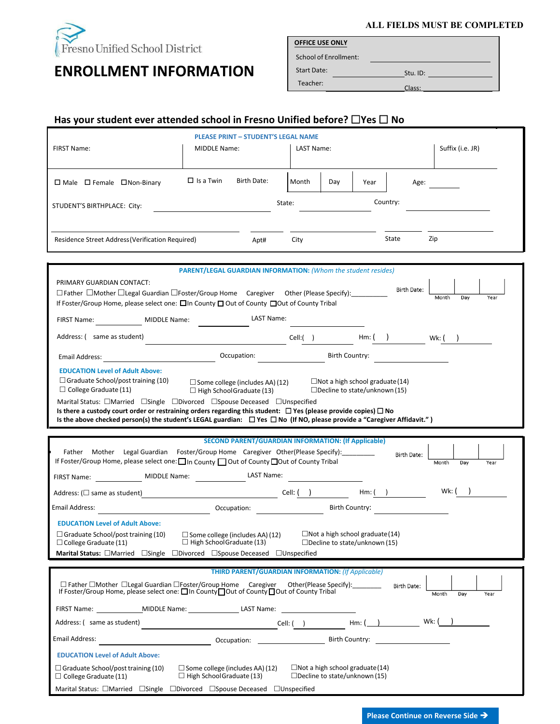

# **ENROLLMENT INFORMATION**

**ALL FIELDS MUST BE COMPLETED**

**OFFICE USE ONLY**

School of Enrollment: Start Date:

 $_$  Stu. ID:  $_$ Teacher:<br>Class: Class:

## **Has your student ever attended school in Fresno Unified before? □Yes □ No**

|                                                                                                                                                                                                                                           |                                                                      | <b>PLEASE PRINT - STUDENT'S LEGAL NAME</b>                                                                      |            |     |                                        |                          |                      |
|-------------------------------------------------------------------------------------------------------------------------------------------------------------------------------------------------------------------------------------------|----------------------------------------------------------------------|-----------------------------------------------------------------------------------------------------------------|------------|-----|----------------------------------------|--------------------------|----------------------|
| FIRST Name:                                                                                                                                                                                                                               | MIDDLE Name:                                                         |                                                                                                                 | LAST Name: |     |                                        |                          | Suffix (i.e. JR)     |
|                                                                                                                                                                                                                                           |                                                                      |                                                                                                                 |            |     |                                        |                          |                      |
| $\Box$ Male $\Box$ Female $\Box$ Non-Binary                                                                                                                                                                                               | $\Box$ Is a Twin                                                     | Birth Date:                                                                                                     | Month      | Day | Year                                   | Age:                     |                      |
| STUDENT'S BIRTHPLACE: City:                                                                                                                                                                                                               |                                                                      |                                                                                                                 | State:     |     |                                        | Country:                 |                      |
|                                                                                                                                                                                                                                           |                                                                      |                                                                                                                 |            |     |                                        |                          |                      |
|                                                                                                                                                                                                                                           |                                                                      |                                                                                                                 |            |     |                                        |                          |                      |
| <b>Residence Street Address (Verification Required)</b>                                                                                                                                                                                   |                                                                      | Apt#                                                                                                            | City       |     |                                        | State                    | Zip                  |
|                                                                                                                                                                                                                                           |                                                                      |                                                                                                                 |            |     |                                        |                          |                      |
|                                                                                                                                                                                                                                           | <b>PARENT/LEGAL GUARDIAN INFORMATION: (Whom the student resides)</b> |                                                                                                                 |            |     |                                        |                          |                      |
| PRIMARY GUARDIAN CONTACT:<br>□ Father □ Mother □ Legal Guardian □ Foster/Group Home Caregiver Other (Please Specify): _________                                                                                                           |                                                                      |                                                                                                                 |            |     |                                        | <b>Birth Date:</b>       |                      |
| If Foster/Group Home, please select one: □In County □ Out of County □Out of County Tribal                                                                                                                                                 |                                                                      |                                                                                                                 |            |     |                                        |                          | Month<br>Day<br>Year |
| FIRST Name: MIDDLE Name:                                                                                                                                                                                                                  |                                                                      | LAST Name:                                                                                                      |            |     |                                        |                          |                      |
|                                                                                                                                                                                                                                           |                                                                      |                                                                                                                 |            |     |                                        |                          |                      |
| Address: (same as student)                                                                                                                                                                                                                |                                                                      |                                                                                                                 |            |     |                                        | Cell:( ) Hm: ( ) Wk: ( ) |                      |
| Email Address: North and Search and Search and Search and Search and Search and Search and Search and Search and Search and Search and Search and Search and Search and Search and Search and Search and Search and Search and            |                                                                      | Occupation:                                                                                                     |            |     | Birth Country:                         |                          |                      |
| <b>EDUCATION Level of Adult Above:</b>                                                                                                                                                                                                    |                                                                      |                                                                                                                 |            |     |                                        |                          |                      |
| $\Box$ Graduate School/post training (10)                                                                                                                                                                                                 |                                                                      | $\Box$ Some college (includes AA) (12)                                                                          |            |     | $\Box$ Not a high school graduate(14)  |                          |                      |
| $\Box$ College Graduate (11)                                                                                                                                                                                                              |                                                                      | $\Box$ High School Graduate (13)                                                                                |            |     | $\Box$ Decline to state/unknown (15)   |                          |                      |
| Marital Status: □Married □Single □Divorced □Spouse Deceased □Unspecified<br>Is there a custody court order or restraining orders regarding this student: $\Box$ Yes (please provide copies) $\Box$ No                                     |                                                                      |                                                                                                                 |            |     |                                        |                          |                      |
| Is the above checked person(s) the student's LEGAL guardian: $\Box$ Yes $\Box$ No (If NO, please provide a "Caregiver Affidavit.")                                                                                                        |                                                                      |                                                                                                                 |            |     |                                        |                          |                      |
|                                                                                                                                                                                                                                           |                                                                      |                                                                                                                 |            |     |                                        |                          |                      |
| <b>SECOND PARENT/GUARDIAN INFORMATION: (If Applicable)</b><br>Mother Legal Guardian Foster/Group Home Caregiver Other(Please Specify): ________<br>Father                                                                                 |                                                                      |                                                                                                                 |            |     |                                        |                          |                      |
| If Foster/Group Home, please select one: In County I Out of County IOut of County Tribal                                                                                                                                                  |                                                                      |                                                                                                                 |            |     |                                        | <b>Birth Date:</b>       | Month<br>Day<br>Year |
| FIRST Name: ____________________ MIDDLE Name: ___________________________________                                                                                                                                                         |                                                                      |                                                                                                                 |            |     |                                        |                          |                      |
|                                                                                                                                                                                                                                           |                                                                      |                                                                                                                 |            |     |                                        |                          | Wk: $($ )            |
| Email Address:                                                                                                                                                                                                                            |                                                                      | Occupation: The contract of the contract of the contract of the contract of the contract of the contract of the |            |     | Birth Country:                         |                          |                      |
| <b>EDUCATION Level of Adult Above:</b>                                                                                                                                                                                                    |                                                                      |                                                                                                                 |            |     |                                        |                          |                      |
| $\Box$ Graduate School/post training (10)                                                                                                                                                                                                 | □ Some college (includes AA) (12)                                    |                                                                                                                 |            |     | $\Box$ Not a high school graduate (14) |                          |                      |
| $\Box$ College Graduate (11)<br>Marital Status: □Married □Single □Divorced □Spouse Deceased □Unspecified                                                                                                                                  | $\Box$ High School Graduate (13)                                     |                                                                                                                 |            |     | $\Box$ Decline to state/unknown (15)   |                          |                      |
|                                                                                                                                                                                                                                           |                                                                      |                                                                                                                 |            |     |                                        |                          |                      |
|                                                                                                                                                                                                                                           |                                                                      | <b>THIRD PARENT/GUARDIAN INFORMATION: (If Applicable)</b>                                                       |            |     |                                        |                          |                      |
| □ Father □Mother □Legal Guardian □Foster/Group Home Caregiver<br>Other(Please Specify):<br><b>Birth Date:</b><br>If Foster/Group Home, please select one: □ In County□ Out of County □ Out of County Tribal<br>Month<br>Day<br>Year       |                                                                      |                                                                                                                 |            |     |                                        |                          |                      |
|                                                                                                                                                                                                                                           |                                                                      |                                                                                                                 |            |     |                                        |                          |                      |
| Address: (same as student)                                                                                                                                                                                                                |                                                                      |                                                                                                                 |            |     |                                        |                          |                      |
| Email Address:                                                                                                                                                                                                                            |                                                                      |                                                                                                                 |            |     |                                        |                          |                      |
| <b>EDUCATION Level of Adult Above:</b>                                                                                                                                                                                                    |                                                                      |                                                                                                                 |            |     |                                        |                          |                      |
| $\Box$ Not a high school graduate (14)<br>$\Box$ Graduate School/post training (10)<br>$\Box$ Some college (includes AA) (12)<br>$\Box$ High School Graduate (13)<br>$\Box$ Decline to state/unknown (15)<br>$\Box$ College Graduate (11) |                                                                      |                                                                                                                 |            |     |                                        |                          |                      |
| Marital Status: $\Box$ Married $\Box$ Single $\Box$ Divorced $\Box$ Spouse Deceased $\Box$ Unspecified                                                                                                                                    |                                                                      |                                                                                                                 |            |     |                                        |                          |                      |